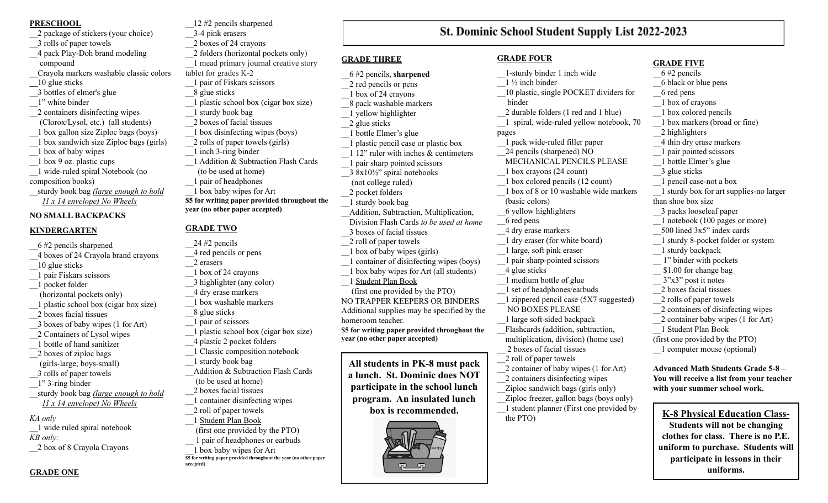#### **PRESCHOOL**

- \_\_2 package of stickers (your choice) \_\_3 rolls of paper towels \_\_4 pack Play-Doh brand modeling compound **\_\_**Crayola markers washable classic colors **\_\_**10 glue sticks
- \_\_3 bottles of elmer's glue \_\_1" white binder \_\_2 containers disinfecting wipes
- (Clorox/Lysol, etc.) (all students) \_\_1 box gallon size Ziploc bags (boys)
- \_\_1 box sandwich size Ziploc bags (girls)
- \_\_1 box of baby wipes
- \_\_1 box 9 oz. plastic cups
- \_\_1 wide-ruled spiral Notebook (no
- composition books)
- \_\_sturdy book bag *(large enough to hold 11 x 14 envelope) No Wheels*

# **NO SMALL BACKPACKS**

# **KINDERGARTEN**

\_\_6 #2 pencils sharpened \_\_4 boxes of 24 Crayola brand crayons \_\_10 glue sticks \_\_1 pair Fiskars scissors \_\_1 pocket folder (horizontal pockets only) \_\_1 plastic school box (cigar box size) \_\_2 boxes facial tissues \_\_3 boxes of baby wipes (1 for Art) \_\_2 Containers of Lysol wipes \_\_1 bottle of hand sanitizer \_\_2 boxes of ziploc bags (girls-large; boys-small) \_\_3 rolls of paper towels \_\_1" 3-ring binder \_\_sturdy book bag *(large enough to hold 11 x 14 envelope) No Wheels KA only* \_\_1 wide ruled spiral notebook

\_\_3-4 pink erasers \_\_2 boxes of 24 crayons \_\_2 folders (horizontal pockets only) \_\_1 mead primary journal creative story tablet for grades K-2 \_\_1 pair of Fiskars scissors \_\_8 glue sticks \_\_1 plastic school box (cigar box size) \_\_1 sturdy book bag \_\_2 boxes of facial tissues \_\_1 box disinfecting wipes (boys) \_\_2 rolls of paper towels (girls) \_\_1 inch 3-ring binder 1 Addition & Subtraction Flash Cards (to be used at home) \_\_1 pair of headphones \_\_1 box baby wipes for Art **\$5 for writing paper provided throughout the year (no other paper accepted)**

\_\_12 #2 pencils sharpened

# **GRADE TWO**

- $24 \#2$  pencils \_\_4 red pencils or pens
- \_\_2 erasers
- \_\_1 box of 24 crayons

\_\_4 plastic 2 pocket folders

(to be used at home) \_\_2 boxes facial tissues

\_\_2 roll of paper towels \_\_1 Student Plan Book

**accepted)**

\_\_1 box baby wipes for Art

**\$5 for writing paper provided throughout the year (no other paper**

\_\_1 sturdy book bag

\_\_3 highlighter (any color)

\_\_8 glue sticks \_\_1 pair of scissors

- \_\_4 dry erase markers \_\_1 box washable markers
- 
- 
- 

*KB only:* \_\_2 box of 8 Crayola Crayons

# **GRADE ONE**

- **GRADE FOUR** \_\_1-sturdy binder 1 inch wide  $\frac{1}{2}$  inch binder \_\_10 plastic, single POCKET dividers for binder \_\_2 durable folders (1 red and 1 blue) \_\_1 spiral, wide-ruled yellow notebook, 70
	- pages \_\_1 pack wide-ruled filler paper \_\_24 pencils (sharpened) NO
		- MECHANICAL PENCILS PLEASE
		- \_\_1 box crayons (24 count) \_\_1 box colored pencils (12 count)
		- \_\_1 box of 8 or 10 washable wide markers
		- (basic colors)
		- \_\_6 yellow highlighters
		- \_\_6 red pens \_\_4 dry erase markers
		- \_\_1 dry eraser (for white board)
		- \_\_1 large, soft pink eraser
		- \_\_1 pair sharp-pointed scissors
		- \_\_4 glue sticks \_\_1 medium bottle of glue
		- \_\_1 set of headphones/earbuds
		- \_\_1 zippered pencil case (5X7 suggested) NO BOXES PLEASE
		- \_\_1 large soft-sided backpack
		- \_\_Flashcards (addition, subtraction, multiplication, division) (home use)
		- \_\_ 2 boxes of facial tissues
		- \_\_2 roll of paper towels
		- \_\_2 container of baby wipes (1 for Art)
		- \_\_2 containers disinfecting wipes
		- \_\_Ziploc sandwich bags (girls only)
		- \_\_Ziploc freezer, gallon bags (boys only) \_\_1 student planner (First one provided by the PTO)

\_\_1 box of crayons \_\_1 box colored pencils \_\_1 box markers (broad or fine) \_\_2 highlighters \_\_4 thin dry erase markers \_\_1 pair pointed scissors \_\_1 bottle Elmer's glue \_\_3 glue sticks \_\_1 pencil case-not a box \_\_1 sturdy box for art supplies-no larger than shoe box size \_\_3 packs looseleaf paper

- \_\_1 notebook (100 pages or more)
- 500 lined 3x5" index cards
- \_\_1 sturdy 8-pocket folder or system
- \_\_1 sturdy backpack

**GRADE FIVE** \_\_6 #2 pencils \_\_6 black or blue pens

\_\_6 red pens

- \_\_ 1" binder with pockets
- \_\_ \$1.00 for change bag
- $3"x3"$  post it notes
- \_\_2 boxes facial tissues
- \_\_2 rolls of paper towels
- \_\_2 containers of disinfecting wipes
- \_\_2 container baby wipes (1 for Art)
- \_\_1 Student Plan Book
- (first one provided by the PTO)
- \_\_1 computer mouse (optional)

**Advanced Math Students Grade 5-8 – You will receive a list from your teacher with your summer school work.**

# **K-8 Physical Education Class-**

**Students will not be changing clothes for class. There is no P.E. uniform to purchase. Students will participate in lessons in their uniforms.**

\_\_1 plastic school box (cigar box size) \_\_1 Classic composition notebook Addition & Subtraction Flash Cards \_\_1 container disinfecting wipes (first one provided by the PTO) \_\_ 1 pair of headphones or earbuds  $3.8x10\frac{1}{2}$ " spiral notebooks (not college ruled) \_\_2 pocket folders \_\_1 sturdy book bag \_\_3 boxes of facial tissues \_\_2 roll of paper towels \_\_1 box of baby wipes (girls) \_\_1 Student Plan Book (first one provided by the PTO) NO TRAPPER KEEPERS OR BINDERS homeroom teacher. **year (no other paper accepted)**

St. Dominic School Student Supply List 2022-2023

# **GRADE THREE**

- \_\_6 #2 pencils, **sharpened** \_\_2 red pencils or pens
- \_\_1 box of 24 crayons
- \_\_8 pack washable markers
- \_\_1 yellow highlighter
- \_\_2 glue sticks
- \_\_1 bottle Elmer's glue
	- \_\_1 plastic pencil case or plastic box 1 12" ruler with inches & centimeters
	- \_\_1 pair sharp pointed scissors
	-
	- \_\_Addition, Subtraction, Multiplication,

# Division Flash Cards *to be used at home*

- \_\_1 container of disinfecting wipes (boys)
- \_\_1 box baby wipes for Art (all students)

Additional supplies may be specified by the

**\$5 for writing paper provided throughout the**

**All students in PK-8 must pack a lunch. St. Dominic does NOT participate in the school lunch program. An insulated lunch box is recommended.**